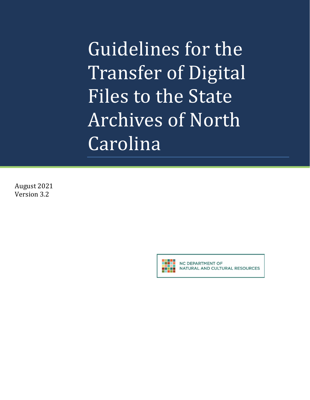Guidelines for the Transfer of Digital Files to the State Archives of North Carolina

August 2021 Version 3.2



NC DEPARTMENT OF NATURAL AND CULTURAL RESOURCES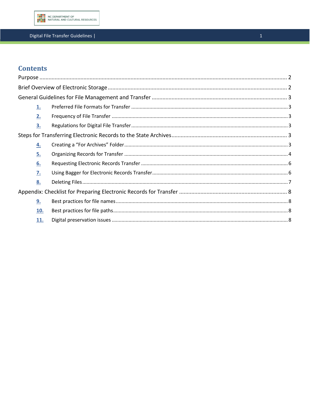

## Digital File Transfer Guidelines |

# **Contents**

|  | 1.  |  |  |
|--|-----|--|--|
|  | 2.  |  |  |
|  | 3.  |  |  |
|  |     |  |  |
|  | 4.  |  |  |
|  | 5.  |  |  |
|  | 6.  |  |  |
|  | 7.  |  |  |
|  | 8.  |  |  |
|  |     |  |  |
|  | 9.  |  |  |
|  | 10. |  |  |
|  | 11. |  |  |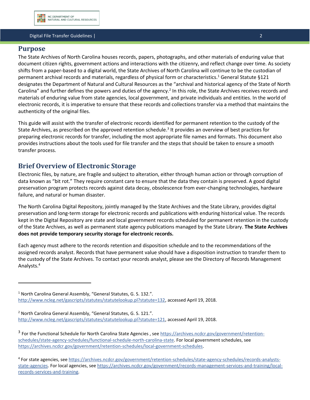#### Digital File Transfer Guidelines | 2

## <span id="page-2-0"></span>**Purpose**

The State Archives of North Carolina houses records, papers, photographs, and other materials of enduring value that document citizen rights, government actions and interactions with the citizenry, and reflect change over time. As society shifts from a paper-based to a digital world, the State Archives of North Carolina will continue to be the custodian of permanent archival records and materials, regardless of physical form or characteristics.<sup>1</sup> General Statute §121 designates the Department of Natural and Cultural Resources as the "archival and historical agency of the State of North Carolina" and further defines the powers and duties of the agency.<sup>2</sup> In this role, the State Archives receives records and materials of enduring value from state agencies, local government, and private individuals and entities. In the world of electronic records, it is imperative to ensure that these records and collections transfer via a method that maintains the authenticity of the original files.

This guide will assist with the transfer of electronic records identified for permanent retention to the custody of the State Archives, as prescribed on the approved retention schedule.<sup>3</sup> It provides an overview of best practices for preparing electronic records for transfer, including the most appropriate file names and formats. This document also provides instructions about the tools used for file transfer and the steps that should be taken to ensure a smooth transfer process.

## <span id="page-2-1"></span>**Brief Overview of Electronic Storage**

Electronic files, by nature, are fragile and subject to alteration, either through human action or through corruption of data known as "bit rot." They require constant care to ensure that the data they contain is preserved. A good digital preservation program protects records against data decay, obsolescence from ever-changing technologies, hardware failure, and natural or human disaster.

The North Carolina Digital Repository, jointly managed by the State Archives and the State Library, provides digital preservation and long-term storage for electronic records and publications with enduring historical value. The records kept in the Digital Repository are state and local government records scheduled for permanent retention in the custody of the State Archives, as well as permanent state agency publications managed by the State Library. **The State Archives does not provide temporary security storage for electronic records.**

Each agency must adhere to the records retention and disposition schedule and to the recommendations of the assigned records analyst. Records that have permanent value should have a disposition instruction to transfer them to the custody of the State Archives. To contact your records analyst, please see the Directory of Records Management Analysts.<sup>4</sup>

<sup>&</sup>lt;sup>1</sup> North Carolina General Assembly, "General Statutes, G. S. 132.". [http://www.ncleg.net/gascripts/statutes/statutelookup.pl?statute=132,](http://www.ncleg.net/gascripts/statutes/statutelookup.pl?statute=132) accessed April 19, 2018.

<sup>2</sup> North Carolina General Assembly, "General Statutes, G. S. 121.". [http://www.ncleg.net/gascripts/statutes/statutelookup.pl?statute=121,](http://www.ncleg.net/gascripts/statutes/statutelookup.pl?statute=121) accessed April 19, 2018.

<sup>&</sup>lt;sup>3</sup> For the Functional Schedule for North Carolina State Agencies, se[e https://archives.ncdcr.gov/government/retention](https://archives.ncdcr.gov/government/retention-schedules/state-agency-schedules/functional-schedule-north-carolina-state)[schedules/state-agency-schedules/functional-schedule-north-carolina-state.](https://archives.ncdcr.gov/government/retention-schedules/state-agency-schedules/functional-schedule-north-carolina-state) For local government schedules, see [https://archives.ncdcr.gov/government/retention-schedules/local-government-schedules.](https://archives.ncdcr.gov/government/retention-schedules/local-government-schedules)

<sup>&</sup>lt;sup>4</sup> For state agencies, see [https://archives.ncdcr.gov/government/retention-schedules/state-agency-schedules/records-analysts](https://archives.ncdcr.gov/government/retention-schedules/state-agency-schedules/records-analysts-state-agencies)[state-agencies.](https://archives.ncdcr.gov/government/retention-schedules/state-agency-schedules/records-analysts-state-agencies) For local agencies, see [https://archives.ncdcr.gov/government/records-management-services-and-training/local](https://archives.ncdcr.gov/government/records-management-services-and-training/local-records-services-and-training)[records-services-and-training.](https://archives.ncdcr.gov/government/records-management-services-and-training/local-records-services-and-training)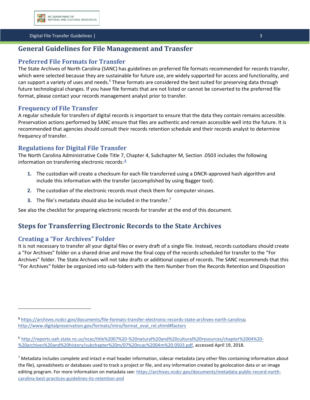

#### Digital File Transfer Guidelines | 3

## <span id="page-3-0"></span>**General Guidelines for File Management and Transfer**

## <span id="page-3-1"></span>**Preferred File Formats for Transfer**

The State Archives of North Carolina (SANC) has guidelines on preferred file formats recommended for records transfer, which were selected because they are sustainable for future use, are widely supported for access and functionality, and can support a variety of uses and needs.<sup>5</sup> These formats are considered the best suited for preserving data through future technological changes. If you have file formats that are not listed or cannot be converted to the preferred file format, please contact your records management analyst prior to transfer.

## <span id="page-3-2"></span>**Frequency of File Transfer**

A regular schedule for transfers of digital records is important to ensure that the data they contain remains accessible. Preservation actions performed by SANC ensure that files are authentic and remain accessible well into the future. It is recommended that agencies should consult their records retention schedule and their records analyst to determine frequency of transfer.

## <span id="page-3-3"></span>**Regulations for Digital File Transfer**

The North Carolina Administrative Code Title 7, Chapter 4, Subchapter M, Section .0503 includes the following information on transferring electronic records: **<sup>6</sup>**

- **1.** The custodian will create a checksum for each file transferred using a DNCR-approved hash algorithm and include this information with the transfer (accomplished by using Bagger tool).
- **2.** The custodian of the electronic records must check them for computer viruses.
- **3.** The file's metadata should also be included in the transfer.<sup>7</sup>

See also the checklist for preparing electronic records for transfer at the end of this document.

## <span id="page-3-4"></span>**Steps for Transferring Electronic Records to the State Archives**

## <span id="page-3-5"></span>**Creating a "For Archives" Folder**

It is not necessary to transfer all your digital files or every draft of a single file. Instead, records custodians should create a "For Archives" folder on a shared drive and move the final copy of the records scheduled for transfer to the "For Archives" folder. The State Archives will not take drafts or additional copies of records. The SANC recommends that this "For Archives" folder be organized into sub-folders with the Item Number from the Records Retention and Disposition

**<sup>5</sup>** <https://archives.ncdcr.gov/documents/file-formats-transfer-electronic-records-state-archives-north-carolina>**;** [http://www.digitalpreservation.gov/formats/intro/format\\_eval\\_rel.shtml#factors](http://www.digitalpreservation.gov/formats/intro/format_eval_rel.shtml#factors)

<sup>6</sup> [http://reports.oah.state.nc.us/ncac/title%2007%20-%20natural%20and%20cultural%20resources/chapter%2004%20-](http://reports.oah.state.nc.us/ncac/title%2007%20-%20natural%20and%20cultural%20resources/chapter%2004%20-%20archives%20and%20history/subchapter%20m/07%20ncac%2004m%20.0503.pdf) [%20archives%20and%20history/subchapter%20m/07%20ncac%2004m%20.0503.pdf,](http://reports.oah.state.nc.us/ncac/title%2007%20-%20natural%20and%20cultural%20resources/chapter%2004%20-%20archives%20and%20history/subchapter%20m/07%20ncac%2004m%20.0503.pdf) accessed April 19, 2018.

 $7$  Metadata includes complete and intact e-mail header information, sidecar metadata (any other files containing information about the file), spreadsheets or databases used to track a project or file, and any information created by geolocation data or an image editing program. For more information on metadata see: [https://archives.ncdcr.gov/documents/metadata-public-record-north](https://archives.ncdcr.gov/documents/metadata-public-record-north-carolina-best-practices-guidelines-its-retention-and)[carolina-best-practices-guidelines-its-retention-and](https://archives.ncdcr.gov/documents/metadata-public-record-north-carolina-best-practices-guidelines-its-retention-and)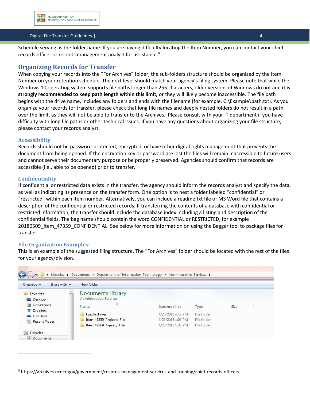

#### Digital File Transfer Guidelines | 4

Schedule serving as the folder name. If you are having difficulty locating the Item Number, you can contact your chief records officer or records management analyst for assistance.<sup>8</sup>

### <span id="page-4-0"></span>**Organizing Records for Transfer**

When copying your records into the "For Archives" folder, the sub-folders structure should be organized by the Item Number on your retention schedule. The next level should match your agency's filing system. Please note that while the Windows 10 operating system supports file paths longer than 255 characters, older versions of Windows do not and **it is strongly recommended to keep path length within this limit,** or they will likely become inaccessible. The file path begins with the drive name, includes any folders and ends with the filename (for example, C:\Example\path.txt). As you organize your records for transfer, please check that long file names and deeply nested folders do not result in a path over the limit, as they will not be able to transfer to the Archives. Please consult with your IT department if you have difficulty with long file paths or other technical issues. If you have any questions about organizing your file structure, please contact your records analyst.

#### **Accessibility**

Records should not be password-protected, encrypted, or have other digital rights management that prevents the document from being opened. If the encryption key or password are lost the files will remain inaccessible to future users and cannot serve their documentary purpose or be properly preserved. Agencies should confirm that records are accessible (i.e., able to be opened) prior to transfer.

#### **Confidentiality**

If confidential or restricted data exists in the transfer, the agency should inform the records analyst and specify the data, as well as indicating its presence on the transfer form. One option is to nest a folder labeled "confidential" or "restricted" within each item number. Alternatively, you can include a readme.txt file or MS Word file that contains a description of the confidential or restricted records. If transferring the contents of a database with confidential or restricted information, the transfer should include the database index including a listing and description of the confidential fields. The bag name should contain the word CONFIDENTIAL or RESTRICTED, for example 20180509\_Item\_47359\_CONFIDENTIAL. See below for more information on using the Bagger tool to package files for transfer.

#### **File Organization Examples:**

This is an example of the suggested filing structure. The "For Archives" folder should be located with the rest of the files for your agency/division.

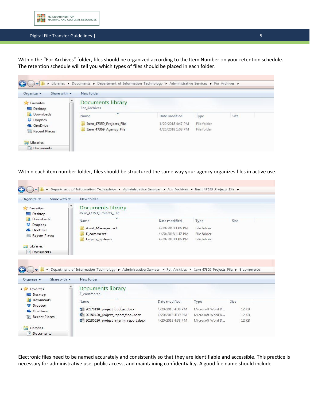

#### Digital File Transfer Guidelines | 5

5

Within the "For Archives" folder, files should be organized according to the Item Number on your retention schedule. The retention schedule will tell you which types of files should be placed in each folder.



Within each item number folder, files should be structured the same way your agency organizes files in active use.



Electronic files need to be named accurately and consistently so that they are identifiable and accessible. This practice is necessary for administrative use, public access, and maintaining confidentiality. A good file name should include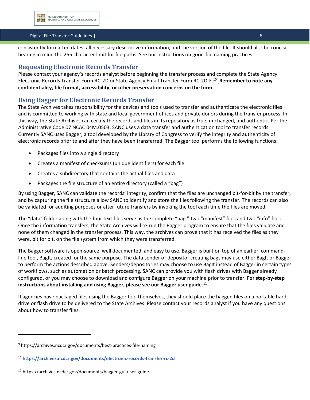

#### Digital File Transfer Guidelines | 6

consistently formatted dates, all necessary descriptive information, and the version of the file. It should also be concise, bearing in mind the 255 character limit for file paths. See our instructions on good-file naming practices.<sup>9</sup>

### <span id="page-6-0"></span>**Requesting Electronic Records Transfer**

Please contact your agency's records analyst before beginning the transfer process and complete the State Agency Electronic Records Transfer Form RC-2D or State Agency Email Transfer Form RC-2D-E. <sup>10</sup> **Remember to note any confidentiality, file format, accessibility, or other preservation concerns on the form.** 

### <span id="page-6-1"></span>**Using Bagger for Electronic Records Transfer**

The State Archives takes responsibility for the devices and tools used to transfer and authenticate the electronic files and is committed to working with state and local government offices and private donors during the transfer process. In this way, the State Archives can certify the records and files in its repository as true, unchanged, and authentic. Per the Administrative Code 07 NCAC 04M.0503, SANC uses a data transfer and authentication tool to transfer records. Currently SANC uses Bagger, a tool developed by the Library of Congress to verify the integrity and authenticity of electronic records prior to and after they have been transferred. The Bagger tool performs the following functions:

- Packages files into a single directory
- Creates a manifest of checksums (unique identifiers) for each file
- Creates a subdirectory that contains the actual files and data
- Packages the file structure of an entire directory (called a "bag")

By using Bagger, SANC can validate the records' integrity, confirm that the files are unchanged bit-for-bit by the transfer, and by capturing the file structure allow SANC to identify and store the files following the transfer. The records can also be validated for auditing purposes or after future transfers by invoking the tool each time the files are moved.

The "data" folder along with the four text files serve as the complete "bag:" two "manifest" files and two "info" files. Once the information transfers, the State Archives will re-run the Bagger program to ensure that the files validate and none of them changed in the transfer process. This way, the archives can prove that it has received the files as they were, bit for bit, on the file system from which they were transferred.

The Bagger software is open-source, well documented, and easy to use. Bagger is built on top of an earlier, commandline tool, BagIt, created for the same purpose. The data sender or depositor creating bags may use either BagIt or Bagger to perform the actions described above. Senders/depositories may choose to use BagIt instead of Bagger in certain types of workflows, such as automation or batch processing. SANC can provide you with flash drives with Bagger already configured, or you may choose to download and configure Bagger on your machine prior to transfer. **For step-by-step instructions about installing and using Bagger, please see our Bagger user guide.**<sup>11</sup>

If agencies have packaged files using the Bagger tool themselves, they should place the bagged files on a portable hard drive or flash drive to be delivered to the State Archives. Please contact your records analyst if you have any questions about how to transfer files.

<sup>&</sup>lt;sup>9</sup> https://archives.ncdcr.gov/documents/best-practices-file-naming

<sup>10</sup> **<https://archives.ncdcr.gov/documents/electronic-records-transfer-rc-2d>**

<sup>11</sup> https://archives.ncdcr.gov/documents/bagger-gui-user-guide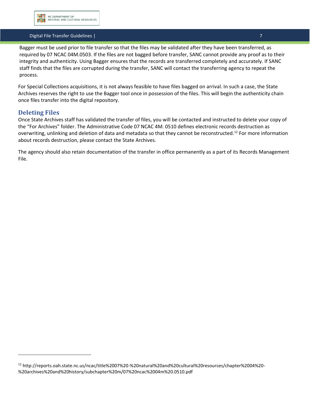

#### Digital File Transfer Guidelines | 7

Bagger must be used prior to file transfer so that the files may be validated after they have been transferred, as required by 07 NCAC 04M.0503. If the files are not bagged before transfer, SANC cannot provide any proof as to their integrity and authenticity. Using Bagger ensures that the records are transferred completely and accurately. If SANC staff finds that the files are corrupted during the transfer, SANC will contact the transferring agency to repeat the process.

For Special Collections acquisitions, it is not always feasible to have files bagged on arrival. In such a case, the State Archives reserves the right to use the Bagger tool once in possession of the files. This will begin the authenticity chain once files transfer into the digital repository.

## <span id="page-7-0"></span>**Deleting Files**

Once State Archives staff has validated the transfer of files, you will be contacted and instructed to delete your copy of the "For Archives" folder. The Administrative Code 07 NCAC 4M. 0510 defines electronic records destruction as overwriting, unlinking and deletion of data and metadata so that they cannot be reconstructed.<sup>12</sup> For more information about records destruction, please contact the State Archives.

<span id="page-7-1"></span>The agency should also retain documentation of the transfer in office permanently as a part of its Records Management File.

<sup>12</sup> http://reports.oah.state.nc.us/ncac/title%2007%20-%20natural%20and%20cultural%20resources/chapter%2004%20- %20archives%20and%20history/subchapter%20m/07%20ncac%2004m%20.0510.pdf